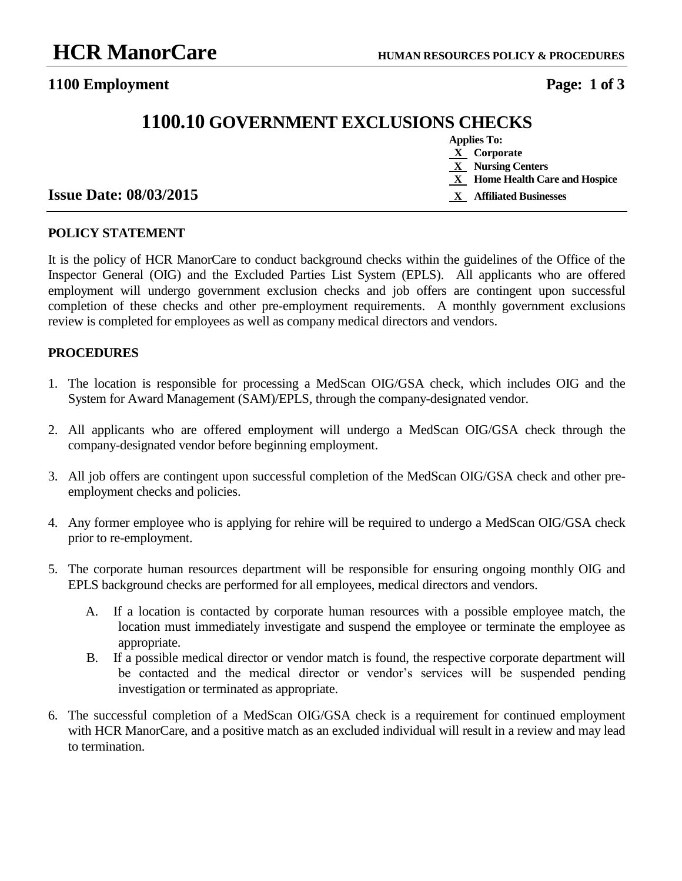### **1100 Employment Page: 1 of 3**

# **1100.10 GOVERNMENT EXCLUSIONS CHECKS**

| <b>Applies To:</b> |                                |  |
|--------------------|--------------------------------|--|
|                    | <b>X</b> Corporate             |  |
|                    | X Nursing Centers              |  |
|                    | X Home Health Care and Hospice |  |
|                    | X Affiliated Businesses        |  |

#### **Issue Date: 08/03/2015**

#### **POLICY STATEMENT**

It is the policy of HCR ManorCare to conduct background checks within the guidelines of the Office of the Inspector General (OIG) and the Excluded Parties List System (EPLS). All applicants who are offered employment will undergo government exclusion checks and job offers are contingent upon successful completion of these checks and other pre-employment requirements. A monthly government exclusions review is completed for employees as well as company medical directors and vendors.

#### **PROCEDURES**

- 1. The location is responsible for processing a MedScan OIG/GSA check, which includes OIG and the System for Award Management (SAM)/EPLS, through the company-designated vendor.
- 2. All applicants who are offered employment will undergo a MedScan OIG/GSA check through the company-designated vendor before beginning employment.
- 3. All job offers are contingent upon successful completion of the MedScan OIG/GSA check and other preemployment checks and policies.
- 4. Any former employee who is applying for rehire will be required to undergo a MedScan OIG/GSA check prior to re-employment.
- 5. The corporate human resources department will be responsible for ensuring ongoing monthly OIG and EPLS background checks are performed for all employees, medical directors and vendors.
	- A. If a location is contacted by corporate human resources with a possible employee match, the location must immediately investigate and suspend the employee or terminate the employee as appropriate.
	- B. If a possible medical director or vendor match is found, the respective corporate department will be contacted and the medical director or vendor's services will be suspended pending investigation or terminated as appropriate.
- 6. The successful completion of a MedScan OIG/GSA check is a requirement for continued employment with HCR ManorCare, and a positive match as an excluded individual will result in a review and may lead to termination.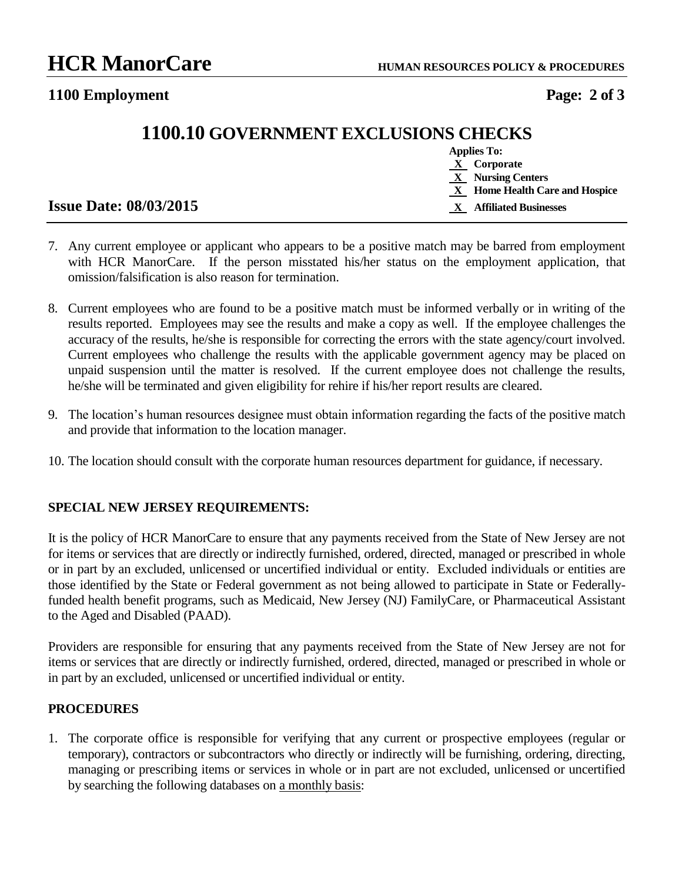**1100 Employment Page: 2 of 3**

# **1100.10 GOVERNMENT EXCLUSIONS CHECKS**

|                               | <b>Applies To:</b>               |
|-------------------------------|----------------------------------|
|                               | $X$ Corporate                    |
|                               | X Nursing Centers                |
|                               | $X$ Home Health Care and Hospice |
| <b>Issue Date: 08/03/2015</b> | <b>Affiliated Businesses</b>     |

- 7. Any current employee or applicant who appears to be a positive match may be barred from employment with HCR ManorCare. If the person misstated his/her status on the employment application, that omission/falsification is also reason for termination.
- 8. Current employees who are found to be a positive match must be informed verbally or in writing of the results reported. Employees may see the results and make a copy as well. If the employee challenges the accuracy of the results, he/she is responsible for correcting the errors with the state agency/court involved. Current employees who challenge the results with the applicable government agency may be placed on unpaid suspension until the matter is resolved. If the current employee does not challenge the results, he/she will be terminated and given eligibility for rehire if his/her report results are cleared.
- 9. The location's human resources designee must obtain information regarding the facts of the positive match and provide that information to the location manager.
- 10. The location should consult with the corporate human resources department for guidance, if necessary.

#### **SPECIAL NEW JERSEY REQUIREMENTS:**

It is the policy of HCR ManorCare to ensure that any payments received from the State of New Jersey are not for items or services that are directly or indirectly furnished, ordered, directed, managed or prescribed in whole or in part by an excluded, unlicensed or uncertified individual or entity. Excluded individuals or entities are those identified by the State or Federal government as not being allowed to participate in State or Federallyfunded health benefit programs, such as Medicaid, New Jersey (NJ) FamilyCare, or Pharmaceutical Assistant to the Aged and Disabled (PAAD).

Providers are responsible for ensuring that any payments received from the State of New Jersey are not for items or services that are directly or indirectly furnished, ordered, directed, managed or prescribed in whole or in part by an excluded, unlicensed or uncertified individual or entity.

#### **PROCEDURES**

1. The corporate office is responsible for verifying that any current or prospective employees (regular or temporary), contractors or subcontractors who directly or indirectly will be furnishing, ordering, directing, managing or prescribing items or services in whole or in part are not excluded, unlicensed or uncertified by searching the following databases on a monthly basis: